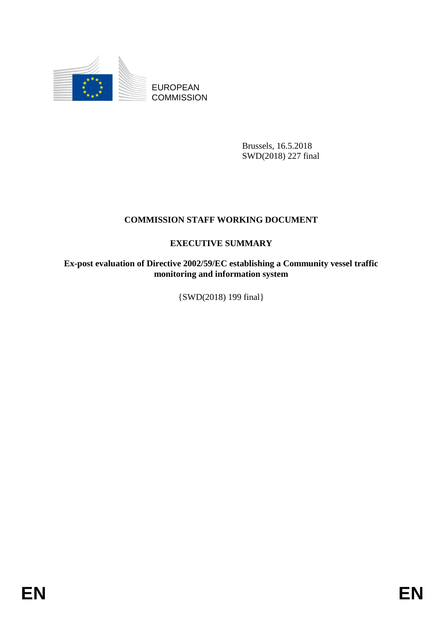

EUROPEAN **COMMISSION** 

> Brussels, 16.5.2018 SWD(2018) 227 final

## **COMMISSION STAFF WORKING DOCUMENT**

## **EXECUTIVE SUMMARY**

**Ex-post evaluation of Directive 2002/59/EC establishing a Community vessel traffic monitoring and information system** 

{SWD(2018) 199 final}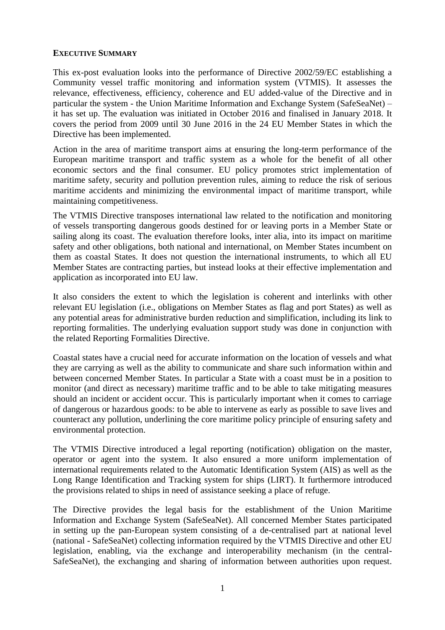## **EXECUTIVE SUMMARY**

This ex-post evaluation looks into the performance of Directive 2002/59/EC establishing a Community vessel traffic monitoring and information system (VTMIS). It assesses the relevance, effectiveness, efficiency, coherence and EU added-value of the Directive and in particular the system - the Union Maritime Information and Exchange System (SafeSeaNet) – it has set up. The evaluation was initiated in October 2016 and finalised in January 2018. It covers the period from 2009 until 30 June 2016 in the 24 EU Member States in which the Directive has been implemented.

Action in the area of maritime transport aims at ensuring the long-term performance of the European maritime transport and traffic system as a whole for the benefit of all other economic sectors and the final consumer. EU policy promotes strict implementation of maritime safety, security and pollution prevention rules, aiming to reduce the risk of serious maritime accidents and minimizing the environmental impact of maritime transport, while maintaining competitiveness.

The VTMIS Directive transposes international law related to the notification and monitoring of vessels transporting dangerous goods destined for or leaving ports in a Member State or sailing along its coast. The evaluation therefore looks, inter alia, into its impact on maritime safety and other obligations, both national and international, on Member States incumbent on them as coastal States. It does not question the international instruments, to which all EU Member States are contracting parties, but instead looks at their effective implementation and application as incorporated into EU law.

It also considers the extent to which the legislation is coherent and interlinks with other relevant EU legislation (i.e., obligations on Member States as flag and port States) as well as any potential areas for administrative burden reduction and simplification, including its link to reporting formalities. The underlying evaluation support study was done in conjunction with the related Reporting Formalities Directive.

Coastal states have a crucial need for accurate information on the location of vessels and what they are carrying as well as the ability to communicate and share such information within and between concerned Member States. In particular a State with a coast must be in a position to monitor (and direct as necessary) maritime traffic and to be able to take mitigating measures should an incident or accident occur. This is particularly important when it comes to carriage of dangerous or hazardous goods: to be able to intervene as early as possible to save lives and counteract any pollution, underlining the core maritime policy principle of ensuring safety and environmental protection.

The VTMIS Directive introduced a legal reporting (notification) obligation on the master, operator or agent into the system. It also ensured a more uniform implementation of international requirements related to the Automatic Identification System (AIS) as well as the Long Range Identification and Tracking system for ships (LIRT). It furthermore introduced the provisions related to ships in need of assistance seeking a place of refuge.

The Directive provides the legal basis for the establishment of the Union Maritime Information and Exchange System (SafeSeaNet). All concerned Member States participated in setting up the pan-European system consisting of a de-centralised part at national level (national - SafeSeaNet) collecting information required by the VTMIS Directive and other EU legislation, enabling, via the exchange and interoperability mechanism (in the central-SafeSeaNet), the exchanging and sharing of information between authorities upon request.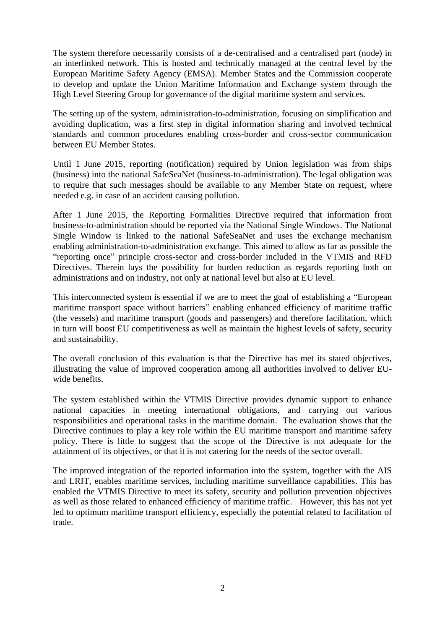The system therefore necessarily consists of a de-centralised and a centralised part (node) in an interlinked network. This is hosted and technically managed at the central level by the European Maritime Safety Agency (EMSA). Member States and the Commission cooperate to develop and update the Union Maritime Information and Exchange system through the High Level Steering Group for governance of the digital maritime system and services.

The setting up of the system, administration-to-administration, focusing on simplification and avoiding duplication, was a first step in digital information sharing and involved technical standards and common procedures enabling cross-border and cross-sector communication between EU Member States.

Until 1 June 2015, reporting (notification) required by Union legislation was from ships (business) into the national SafeSeaNet (business-to-administration). The legal obligation was to require that such messages should be available to any Member State on request, where needed e.g. in case of an accident causing pollution.

After 1 June 2015, the Reporting Formalities Directive required that information from business-to-administration should be reported via the National Single Windows. The National Single Window is linked to the national SafeSeaNet and uses the exchange mechanism enabling administration-to-administration exchange. This aimed to allow as far as possible the "reporting once" principle cross-sector and cross-border included in the VTMIS and RFD Directives. Therein lays the possibility for burden reduction as regards reporting both on administrations and on industry, not only at national level but also at EU level.

This interconnected system is essential if we are to meet the goal of establishing a "European maritime transport space without barriers" enabling enhanced efficiency of maritime traffic (the vessels) and maritime transport (goods and passengers) and therefore facilitation, which in turn will boost EU competitiveness as well as maintain the highest levels of safety, security and sustainability.

The overall conclusion of this evaluation is that the Directive has met its stated objectives, illustrating the value of improved cooperation among all authorities involved to deliver EUwide benefits.

The system established within the VTMIS Directive provides dynamic support to enhance national capacities in meeting international obligations, and carrying out various responsibilities and operational tasks in the maritime domain. The evaluation shows that the Directive continues to play a key role within the EU maritime transport and maritime safety policy. There is little to suggest that the scope of the Directive is not adequate for the attainment of its objectives, or that it is not catering for the needs of the sector overall.

The improved integration of the reported information into the system, together with the AIS and LRIT, enables maritime services, including maritime surveillance capabilities. This has enabled the VTMIS Directive to meet its safety, security and pollution prevention objectives as well as those related to enhanced efficiency of maritime traffic. However, this has not yet led to optimum maritime transport efficiency, especially the potential related to facilitation of trade.